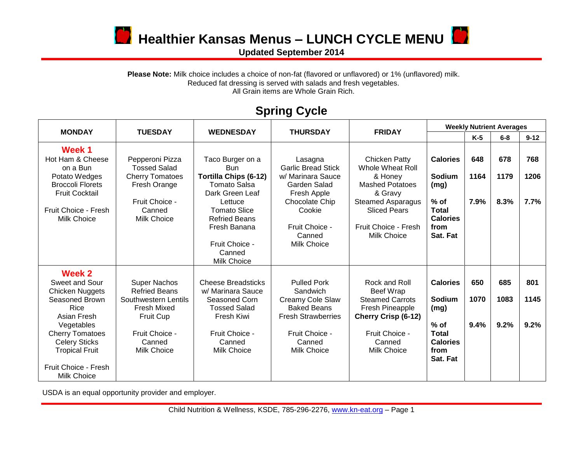

**12** Healthier Kansas Menus – LUNCH CYCLE MENU

**Updated September 2014**

Please Note: Milk choice includes a choice of non-fat (flavored or unflavored) or 1% (unflavored) milk. Reduced fat dressing is served with salads and fresh vegetables. All Grain items are Whole Grain Rich.

## **Spring Cycle**

| <b>MONDAY</b>                                                                                                                                                                                                               | <b>TUESDAY</b>                                                                                                                                    | <b>WEDNESDAY</b>                                                                                                                                                                                                                     | <b>THURSDAY</b>                                                                                                                                                        | <b>FRIDAY</b>                                                                                                                                                                      | <b>Weekly Nutrient Averages</b>                                                                    |                     |                     |                     |
|-----------------------------------------------------------------------------------------------------------------------------------------------------------------------------------------------------------------------------|---------------------------------------------------------------------------------------------------------------------------------------------------|--------------------------------------------------------------------------------------------------------------------------------------------------------------------------------------------------------------------------------------|------------------------------------------------------------------------------------------------------------------------------------------------------------------------|------------------------------------------------------------------------------------------------------------------------------------------------------------------------------------|----------------------------------------------------------------------------------------------------|---------------------|---------------------|---------------------|
|                                                                                                                                                                                                                             |                                                                                                                                                   |                                                                                                                                                                                                                                      |                                                                                                                                                                        |                                                                                                                                                                                    |                                                                                                    | $K-5$               | $6 - 8$             | $9 - 12$            |
| Week 1<br>Hot Ham & Cheese<br>on a Bun<br>Potato Wedges<br><b>Broccoli Florets</b><br><b>Fruit Cocktail</b><br>Fruit Choice - Fresh<br><b>Milk Choice</b>                                                                   | Pepperoni Pizza<br><b>Tossed Salad</b><br><b>Cherry Tomatoes</b><br>Fresh Orange<br>Fruit Choice -<br>Canned<br><b>Milk Choice</b>                | Taco Burger on a<br><b>Bun</b><br><b>Tortilla Chips (6-12)</b><br><b>Tomato Salsa</b><br>Dark Green Leaf<br>Lettuce<br><b>Tomato Slice</b><br><b>Refried Beans</b><br>Fresh Banana<br>Fruit Choice -<br>Canned<br><b>Milk Choice</b> | Lasagna<br><b>Garlic Bread Stick</b><br>w/ Marinara Sauce<br>Garden Salad<br>Fresh Apple<br>Chocolate Chip<br>Cookie<br>Fruit Choice -<br>Canned<br><b>Milk Choice</b> | Chicken Patty<br>Whole Wheat Roll<br>& Honey<br><b>Mashed Potatoes</b><br>& Gravy<br><b>Steamed Asparagus</b><br><b>Sliced Pears</b><br>Fruit Choice - Fresh<br><b>Milk Choice</b> | <b>Calories</b><br>Sodium<br>(mg)<br>$%$ of<br><b>Total</b><br><b>Calories</b><br>from<br>Sat. Fat | 648<br>1164<br>7.9% | 678<br>1179<br>8.3% | 768<br>1206<br>7.7% |
| Week 2<br>Sweet and Sour<br><b>Chicken Nuggets</b><br>Seasoned Brown<br>Rice<br>Asian Fresh<br>Vegetables<br><b>Cherry Tomatoes</b><br><b>Celery Sticks</b><br><b>Tropical Fruit</b><br>Fruit Choice - Fresh<br>Milk Choice | <b>Super Nachos</b><br><b>Refried Beans</b><br>Southwestern Lentils<br><b>Fresh Mixed</b><br>Fruit Cup<br>Fruit Choice -<br>Canned<br>Milk Choice | <b>Cheese Breadsticks</b><br>w/ Marinara Sauce<br>Seasoned Corn<br><b>Tossed Salad</b><br>Fresh Kiwi<br>Fruit Choice -<br>Canned<br><b>Milk Choice</b>                                                                               | <b>Pulled Pork</b><br>Sandwich<br>Creamy Cole Slaw<br><b>Baked Beans</b><br><b>Fresh Strawberries</b><br>Fruit Choice -<br>Canned<br>Milk Choice                       | Rock and Roll<br><b>Beef Wrap</b><br><b>Steamed Carrots</b><br>Fresh Pineapple<br><b>Cherry Crisp (6-12)</b><br>Fruit Choice -<br>Canned<br>Milk Choice                            | <b>Calories</b><br>Sodium<br>(mg)<br>$%$ of<br><b>Total</b><br><b>Calories</b><br>from<br>Sat. Fat | 650<br>1070<br>9.4% | 685<br>1083<br>9.2% | 801<br>1145<br>9.2% |

USDA is an equal opportunity provider and employer.